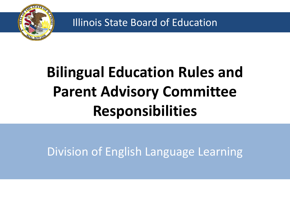

Illinois State Board of Education

# **Bilingual Education Rules and Parent Advisory Committee Responsibilities**

Division of English Language Learning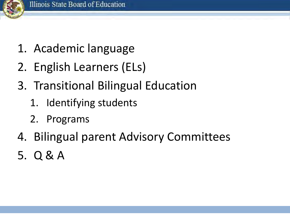

- 1. Academic language
- 2. English Learners (ELs)
- 3. Transitional Bilingual Education
	- 1. Identifying students
	- 2. Programs
- 4. Bilingual parent Advisory Committees
- 5. Q & A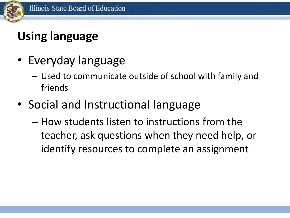### **Using language**

- Everyday language
	- Used to communicate outside of school with family and friends
- Social and Instructional language
	- How students listen to instructions from the teacher, ask questions when they need help, or identify resources to complete an assignment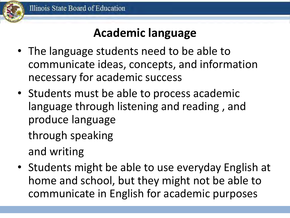### **Academic language**

- The language students need to be able to communicate ideas, concepts, and information necessary for academic success
- Students must be able to process academic language through listening and reading , and produce language through speaking

and writing

• Students might be able to use everyday English at home and school, but they might not be able to communicate in English for academic purposes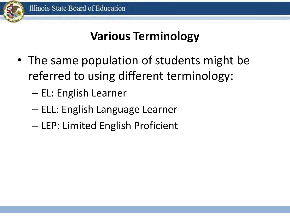

#### **Various Terminology**

- The same population of students might be referred to using different terminology:
	- EL: English Learner
	- ELL: English Language Learner
	- LEP: Limited English Proficient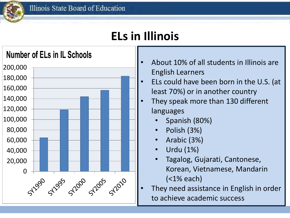#### **ELs in Illinois**



- About 10% of all students in Illinois are English Learners
- ELs could have been born in the U.S. (at least 70%) or in another country
- They speak more than 130 different languages
	- Spanish (80%)
	- Polish (3%)
	- Arabic (3%)
	- Urdu (1%)
	- Tagalog, Gujarati, Cantonese, Korean, Vietnamese, Mandarin (<1% each)
- They need assistance in English in order to achieve academic success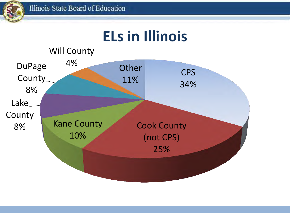

## **ELs in Illinois**

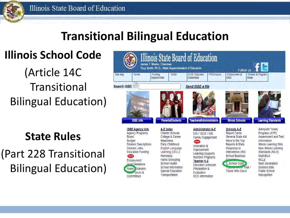#### **Transitional Bilingual Education**

**Illinois School Code** 

(Article 14C **Transitional** Bilingual Education)

**State Rules** 

(Part 228 Transitional Bilingual Education)

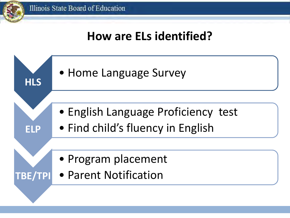#### **How are ELs identified?**

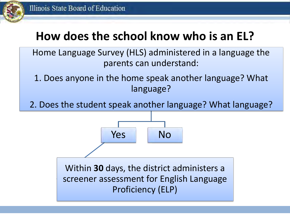

### **How does the school know who is an EL?**

Home Language Survey (HLS) administered in a language the parents can understand:

1. Does anyone in the home speak another language? What language?

2. Does the student speak another language? What language?



Within **30** days, the district administers a screener assessment for English Language Proficiency (ELP)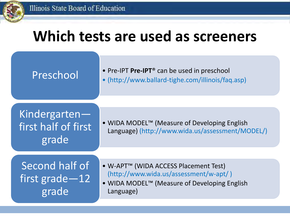### **Which tests are used as screeners**

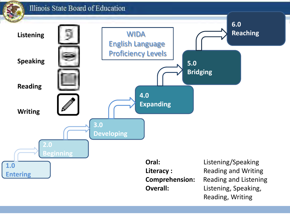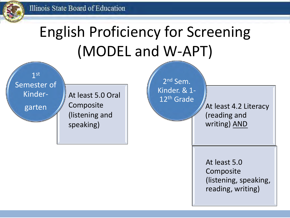# English Proficiency for Screening (MODEL and W-APT)

1 st Semester of Kinder-

At least 5.0 Oral Composite (listening and speaking)

2<sup>nd</sup> Sem. Kinder. & 1- 12th Grade

garten At least 4.2 Literacy (reading and writing) AND

> At least 5.0 **Composite** (listening, speaking, reading, writing)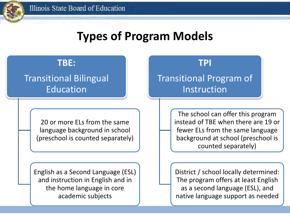#### **Types of Program Models**

#### **TBE:**

#### Transitional Bilingual Education

20 or more ELs from the same language background in school (preschool is counted separately)

English as a Second Language (ESL) and instruction in English and in the home language in core academic subjects

**TPI** 

#### Transitional Program of Instruction

The school can offer this program instead of TBE when there are 19 or fewer ELs from the same language background at school (preschool is counted separately)

District / school locally determined: The program offers at least English as a second language (ESL), and native language support as needed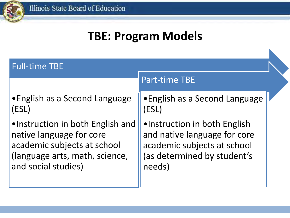#### **TBE: Program Models**

| <b>Full-time TBE</b>                                                                                                                                 |                                                                                                                                      |  |
|------------------------------------------------------------------------------------------------------------------------------------------------------|--------------------------------------------------------------------------------------------------------------------------------------|--|
|                                                                                                                                                      | <b>Part-time TBE</b>                                                                                                                 |  |
| • English as a Second Language<br>(ESL)                                                                                                              | • English as a Second Language<br>ESL)                                                                                               |  |
| .Instruction in both English and<br>native language for core<br>academic subjects at school<br>(language arts, math, science,<br>and social studies) | •Instruction in both English<br>and native language for core<br>academic subjects at school<br>(as determined by student's<br>needs) |  |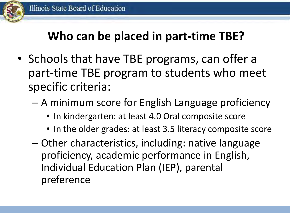### **Who can be placed in part-time TBE?**

- Schools that have TBE programs, can offer a part-time TBE program to students who meet specific criteria:
	- A minimum score for English Language proficiency
		- In kindergarten: at least 4.0 Oral composite score
		- In the older grades: at least 3.5 literacy composite score
	- Other characteristics, including: native language proficiency, academic performance in English, Individual Education Plan (IEP), parental preference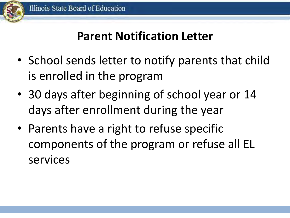

#### **Parent Notification Letter**

- School sends letter to notify parents that child is enrolled in the program
- 30 days after beginning of school year or 14 days after enrollment during the year
- Parents have a right to refuse specific components of the program or refuse all EL services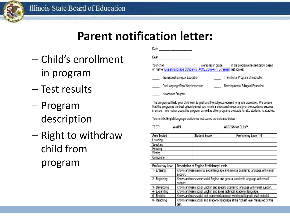

#### **Parent notification letter:**

- Child's enrollment in program
- Test results
- Program description
- Right to withdraw child from program

| Date                                                                                                                                                                          |                                  |  |                                     |
|-------------------------------------------------------------------------------------------------------------------------------------------------------------------------------|----------------------------------|--|-------------------------------------|
| Dear                                                                                                                                                                          |                                  |  |                                     |
| Your child, right of the state of the state of the program of the program checked below based<br>on his/her English language proficiency (ACCESS/W-APT Screener) test scores: |                                  |  |                                     |
|                                                                                                                                                                               | Transitional Bilingual Education |  | Transitional Program of Instruction |
|                                                                                                                                                                               | Dual language/Two-Way Immersion  |  | Developmental Bilingual Education   |
|                                                                                                                                                                               | Newcomer Program                 |  |                                     |

This program will help your child learn English and the subjects required for grade promotion. We believe that this program is the best option to meet your child's instructional needs and promote academic success in school. Information about this program, as well as other programs available for ELL students, is attached.

Your child's English language proficiency test scores are indicated below:

TEST: W-APT

ACCESS for ELLs™

| Area Tested | <b>Student Score</b> | Proficiency Level 1-6 |
|-------------|----------------------|-----------------------|
| Listening   |                      |                       |
| Speaking    |                      |                       |
| Reading     |                      |                       |
| Writing     |                      |                       |
| Composite   |                      |                       |

| Proficiency Level | Description of English Proficiency Levels                                         |
|-------------------|-----------------------------------------------------------------------------------|
| 1 - Entering      | Knows and uses minimal social language and minimal academic language with visual  |
|                   | support.                                                                          |
| 2 - Beginning     | Knows and uses some social English and general academic language with visual      |
|                   | support.                                                                          |
| 3 - Developing    | Knows and uses social English and specific academic language with visual support. |
| 4 - Expanding     | Knows and uses social English and some technical academic language.               |
| 5 - Bridging      | Knows and uses social and academic language working with grade level material.    |
| 6 - Reaching      | Knows and uses social and academic language at the highest level measured by this |
|                   | test                                                                              |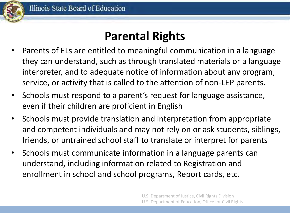

#### **Parental Rights**

- Parents of ELs are entitled to meaningful communication in a language they can understand, such as through translated materials or a language interpreter, and to adequate notice of information about any program, service, or activity that is called to the attention of non-LEP parents.
- Schools must respond to a parent's request for language assistance, even if their children are proficient in English
- Schools must provide translation and interpretation from appropriate and competent individuals and may not rely on or ask students, siblings, friends, or untrained school staff to translate or interpret for parents
- Schools must communicate information in a language parents can understand, including information related to Registration and enrollment in school and school programs, Report cards, etc.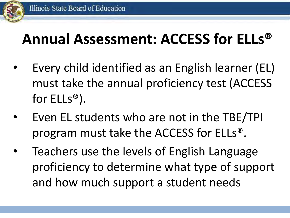#### Illinois State Board of Education

## **Annual Assessment: ACCESS for ELLs®**

- Every child identified as an English learner (EL) must take the annual proficiency test (ACCESS for ELLs®).
- Even EL students who are not in the TBE/TPI program must take the ACCESS for ELLs®.
- Teachers use the levels of English Language proficiency to determine what type of support and how much support a student needs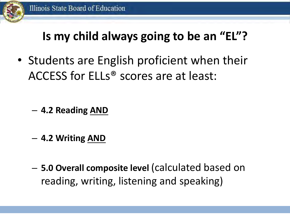

#### **Is my child always going to be an "EL"?**

• Students are English proficient when their ACCESS for ELLs® scores are at least:

- **4.2 Reading AND**
- **4.2 Writing AND**
- **5.0 Overall composite level** (calculated based on reading, writing, listening and speaking)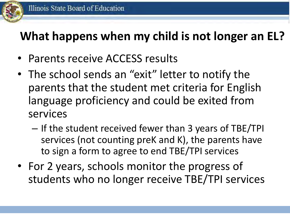#### **What happens when my child is not longer an EL?**

- Parents receive ACCESS results
- The school sends an "exit" letter to notify the parents that the student met criteria for English language proficiency and could be exited from services
	- If the student received fewer than 3 years of TBE/TPI services (not counting preK and K), the parents have to sign a form to agree to end TBE/TPI services
- For 2 years, schools monitor the progress of students who no longer receive TBE/TPI services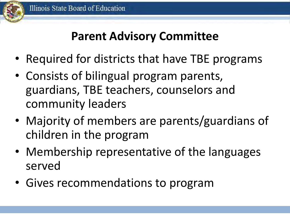#### **Parent Advisory Committee**

- Required for districts that have TBE programs
- Consists of bilingual program parents, guardians, TBE teachers, counselors and community leaders
- Majority of members are parents/guardians of children in the program
- Membership representative of the languages served
- Gives recommendations to program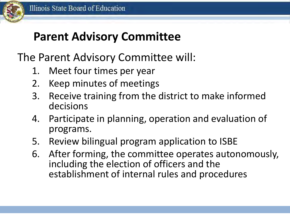

#### **Parent Advisory Committee**

The Parent Advisory Committee will:

- 1. Meet four times per year
- 2. Keep minutes of meetings
- 3. Receive training from the district to make informed decisions
- 4. Participate in planning, operation and evaluation of programs.
- 5. Review bilingual program application to ISBE
- 6. After forming, the committee operates autonomously, including the election of officers and the establishment of internal rules and procedures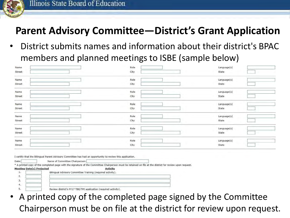

#### **Parent Advisory Committee—District's Grant Application**

• District submits names and information about their district's BPAC members and planned meetings to ISBE (sample below)

| Name                             |                                                                                                                                                          | Role            | Language(s) |  |
|----------------------------------|----------------------------------------------------------------------------------------------------------------------------------------------------------|-----------------|-------------|--|
| Street                           |                                                                                                                                                          | City            | State       |  |
| Name                             |                                                                                                                                                          | Role            | Language(s) |  |
| Street                           |                                                                                                                                                          | City            | State       |  |
| Name                             |                                                                                                                                                          | Role            | Language(s) |  |
| Street                           |                                                                                                                                                          | City            | State       |  |
| Name                             |                                                                                                                                                          | Role            | Language(s) |  |
| Street                           |                                                                                                                                                          | City            | State       |  |
| Name                             |                                                                                                                                                          | Role            | Language(s) |  |
| Street                           |                                                                                                                                                          | City            | State       |  |
| Name                             |                                                                                                                                                          | Role            | Language(s) |  |
| Street                           |                                                                                                                                                          | City            | State       |  |
| Name                             |                                                                                                                                                          | Role            | Language(s) |  |
| Street                           |                                                                                                                                                          | City            | State       |  |
|                                  |                                                                                                                                                          |                 |             |  |
|                                  | I certify that the Bilingual Parent Advisory Committee has had an opportunity to review this application.                                                |                 |             |  |
| Date:                            | Name of Committee Chairperson:                                                                                                                           |                 |             |  |
| <b>Meeting Date(s) Projected</b> | * A printed copy of the completed page with the signature of the Committee Chairperson must be retained on file at the district for review upon request. | <b>Activity</b> |             |  |
| 1.                               | Bilingual Advisory Committee Training (required activity).                                                                                               |                 |             |  |
| 2.                               |                                                                                                                                                          |                 |             |  |
| 3.                               |                                                                                                                                                          |                 |             |  |
| 4.                               |                                                                                                                                                          |                 |             |  |
| 5.                               | Review district's FY17 TBE/TPI application (required activity).                                                                                          |                 |             |  |

• A printed copy of the completed page signed by the Committee Chairperson must be on file at the district for review upon request.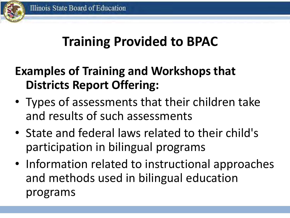### **Training Provided to BPAC**

### **Examples of Training and Workshops that Districts Report Offering:**

- Types of assessments that their children take and results of such assessments
- State and federal laws related to their child's participation in bilingual programs
- Information related to instructional approaches and methods used in bilingual education programs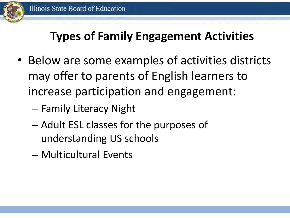

### **Types of Family Engagement Activities**

- Below are some examples of activities districts may offer to parents of English learners to increase participation and engagement:
	- Family Literacy Night
	- Adult ESL classes for the purposes of understanding US schools
	- Multicultural Events